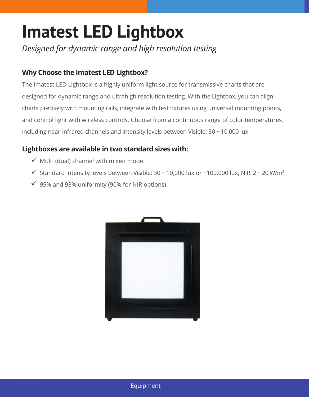## **Imatest LED Lightbox**

*Designed for dynamic range and high resolution testing*

## **Why Choose the Imatest LED Lightbox?**

The Imatest LED Lightbox is a highly uniform light source for transmissive charts that are designed for dynamic range and ultrahigh resolution testing. With the Lightbox, you can align charts precisely with mounting rails, integrate with test fixtures using universal mounting points, and control light with wireless controls. Choose from a continuous range of color temperatures, including near-infrared channels and intensity levels between Visible: 30 ~ 10,000 lux.

## **Lightboxes are available in two standard sizes with:**

- $\checkmark$  Multi (dual) channel with mixed mode.
- $\checkmark$  Standard intensity levels between Visible: 30 ~ 10,000 lux or ~100,000 lux, NIR: 2 ~ 20 W/m<sup>2</sup>.
- $\checkmark$  95% and 93% uniformity (90% for NIR options).